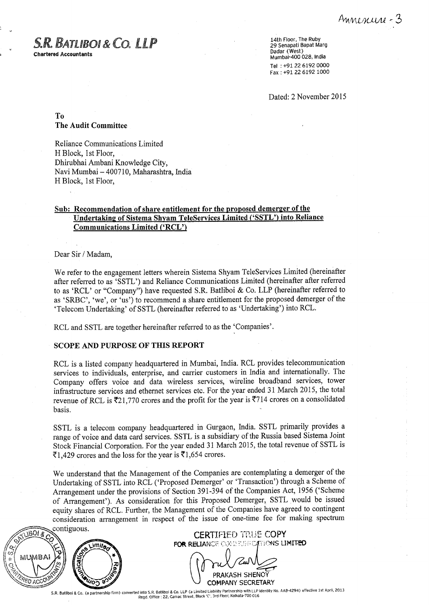## *®o ATL9 6 & C6. LLP*

**Chartered Accountants**

14th Floor, The Ruby 29 Senapati **Bapat Marg Dadar (West) Mumbai-400 028, India** Tel +91 22 6192 0000 Fax +91 22 6192 1000

Dated: 2 November 2015

To The Audit **Committee**

Reliance Communications Limited H Block, 1st Floor, Dhirubhai Ambani Knowledge City, Navi Mumbai - 400710, Maharashtra, India H Block, 1st Floor,

#### **Sub: Recommendation of share entitlement** for the **proposed demerger of the Undertaking of Sistema Shyam** TeleServices **Limited** ('SSTL**') into Reliance Communications Limited** ('RCL')

Dear Sir / Madam,

We refer to the engagement letters wherein Sistema Shyam TeleServices Limited (hereinafter after referred to as 'SSTL') and Reliance Communications Limited (hereinafter after referred to as `RCL' or "Company") have requested S.R. Batliboi & Co. LLP (hereinafter referred to as 'SRBC', 'we', or 'us') to recommend a share entitlement for the proposed demerger of the `Telecom Undertaking' of SSTL (hereinafter referred to as `Undertaking') into RCL.

RCL and SSTL **are together hereinafter referred to as the `Companies'.**

#### SCOPE AND PURPOSE OF THIS REPORT

RCL is a listed company headquartered in Mumbai, India. RCL provides telecommunication services to individuals, enterprise, and carrier customers in India and internationally. The Company offers voice and data wireless services, wireline broadband services, tower infrastructure services and ethernet services etc. For the year ended 31 March 2015, the total revenue of RCL is  $\text{\textsterling}21,770$  crores and the profit for the year is  $\text{\textsterling}714$  crores on a consolidated basis.

SSTL is a telecom company headquartered in Gurgaon, India. SSTL primarily provides a range of voice and data card services. SSTL is a subsidiary of the Russia based Sistema Joint Stock Financial Corporation. For the year ended 31 March 2015, the total revenue of SSTL is  $\overline{2}1,429$  crores and the loss for the year is  $\overline{2}1,654$  crores.

We understand that the Management of the Companies are contemplating a demerger of the Undertaking of SSTL into RCL ('Proposed Demerger' or `Transaction') through a Scheme of Arrangement under the provisions of Section 391-394 of the Companies Act, 1956 ('Scheme of Arrangement'). As consideration for this Proposed Demerger, SSTL would be issued equity shares of RCL. Further, the Management of the Companies have agreed to contingent consideration arrangement in respect of the issue of one-time fee for making spectrum contiguous.



CERTIFIED TRUE COPY **FOR RELIANCE CONSESSIONS LIMITED** 

PRAKASH SHENOY COMPANY SECRETARY

**S.R. Batliboi & Co**. (**a partnership** firm) converted **into S.R** . **Batliboi** & Co. LLP (a Limited Liability **Partnership** with LLP Identity No. AAB-4294) effective 1st April, 2013 **Reed** . Office: 22, Camac **Street**, **Block** 'C', 3rd **Floor, Kolkata**-700 016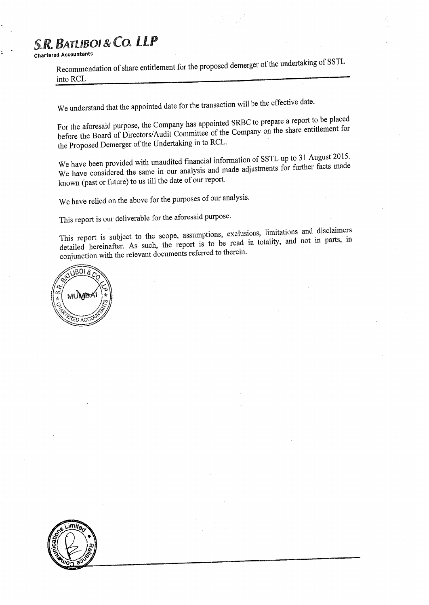**Chartered Accountants**

Recommendation of share entitlement for the proposed demerger of the undertaking of SSTL into RCL

We understand that the appointed date for the transaction will be the effective date.

For the aforesaid purpose, the Company has appointed SRBC to prepare a report to be placed before the Board of Directors/Audit Committee of the Company on the share entitlement for the Proposed Demerger of the Undertaking in to RCL.

We have been provided with unaudited financial information of SSTL up to 31 August 2015. We have considered the same in our analysis and made adjustments for further facts made known (past or future) to us till the date of our report.

We have relied on the above for the purposes of our analysis.

This report is our deliverable for the aforesaid purpose.

This report is subject to the scope, assumptions, exclusions, limitations and disclaimers detailed hereinafter. As such, the report is to be read in totality, and not in parts, in conjunction with the relevant documents referred to therein.



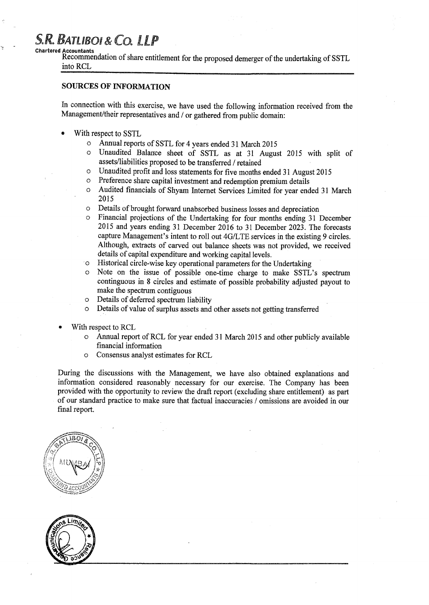**Chartered Accountants**

Recommendation of share entitlement for the proposed demerger of the undertaking of SSTL into RCL

#### SOURCES OF INFORMATION

In connection with this exercise, we have used the following information received from the Management/their representatives and / or gathered from public domain:

- With respect to SSTL
	- o Annual reports of SSTL for 4 years ended 31 March 2015
	- o Unaudited Balance sheet of SSTL as at 31 August 2015 with split of assets/liabilities proposed to be transferred / retained
	- o Unaudited profit and loss statements for five months ended 31 August 2015
	- o Preference share capital investment and redemption premium details
	- o Audited financials of Shyam Internet Services Limited for year ended 31 March 2015
	- o Details of brought forward unabsorbed business losses and depreciation
	- o Financial projections of the Undertaking for four months ending 31 December 2015 and years ending 31 December 2016 to 31 December 2023. The forecasts capture Management's intent to roll out 4G/LTE services in the existing 9 circles. Although, extracts of carved out balance sheets was not provided, we received details of capital expenditure and working capital levels.
	- o Historical circle-wise key operational parameters for the Undertaking
	- o Note on the issue of possible one-time charge to make SSTL's spectrum continguous in 8 circles and estimate of possible probability adjusted payout to make the spectrum contiguous
	- o Details of deferred spectrum liability
	- o Details of value of surplus assets and other assets not getting transferred
- With respect to RCL
	- o Annual report of RCL for year ended 31 March 2015 and other publicly available financial information
	- o Consensus analyst estimates for RCL

**During the discussions with the Management, we have also obtained explanations and information considered reasonably necessary for our exercise** . The Company **has been provided with the opportunity to review the draft report** (**excluding share entitlement) as part of our standard practice to make sure that factual inaccuracies** / **omissions are avoided in our final report.**



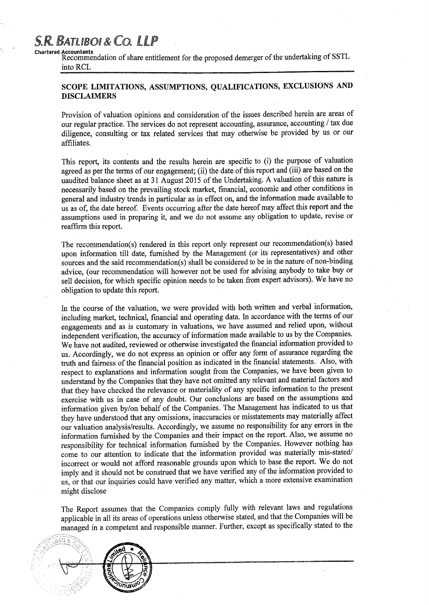### S.R. BATLIBOI & CO. LLP **Chartered Accountants**

Recommendation of share entitlement for the proposed demerger of the undertaking of SSTL into RCL

#### SCOPE LIMITATIONS, ASSUMPTIONS, QUALIFICATIONS, EXCLUSIONS AND DISCLAIMERS

Provision of valuation opinions and consideration of the issues described herein are areas of our regular practice. The services do not represent accounting, assurance, accounting / tax due diligence, consulting or tax related services that may otherwise be provided by us or our affiliates.

This report, its contents and the results herein are specific to (i) the purpose of valuation agreed as per the terms of our engagement; (ii) the date of this report and (iii) are based on the uaudited balance sheet as at 31 August 2015 of the Undertaking. A valuation of this nature is necessarily based on the prevailing stock market, financial, economic and other conditions in general and industry trends in particular as in effect on, and the information made available to us as of, the date hereof. Events occurring after the date hereof may affect this report and the assumptions used in preparing it, and we do not assume any obligation to update, revise or reaffirm this report.

The recommendation(s) rendered in this report only represent our recommendation(s) based upon information till date, furnished by the Management (or its representatives) and other sources and the said recommendation(s) shall be considered to be in the nature of non-binding advice, (our recommendation will however not be used for advising anybody to take buy or sell decision, for which specific opinion needs to be taken from expert advisors). We have no obligation to update this report.

In the course of the valuation, we were provided with both written and verbal information, including market, technical, financial and operating data. In accordance with the terms of our engagements and as is customary in valuations, we have assumed and relied upon, without independent verification, the accuracy of information made available to us by the Companies. We have not audited, reviewed or otherwise investigated the financial information provided to us. Accordingly, we do not express an opinion or offer any form of assurance regarding the truth and fairness of the financial position as indicated in the financial statements. Also, with respect to explanations and information sought from the Companies, we have been given to understand by the Companies that they have not omitted any relevant and material factors and that they have checked the relevance or materiality of any specific information to the present exercise with us in case of any doubt. Our conclusions are based on the assumptions and information given by/on behalf of the Companies. The Management has indicated to us that they have understood that any omissions, inaccuracies or misstatements may materially affect our valuation analysis/results. Accordingly, we assume no responsibility for any errors in the information furnished by the Companies and their impact on the report. Also, we assume no responsibility for technical information furnished by the Companies. However nothing has come to our attention to indicate that the information provided was materially mis-stated/ incorrect or would not afford reasonable grounds upon which to base the report. We do not imply and it should not be construed that we have verified any of the information provided to us, or that our inquiries could have verified any matter, which a more extensive examination might disclose

The Report assumes that the Companies comply fully with relevant laws and regulations applicable in all its areas of operations unless otherwise stated, and that the Companies will be managed in a competent and responsible manner. Further, except as specifically stated to the

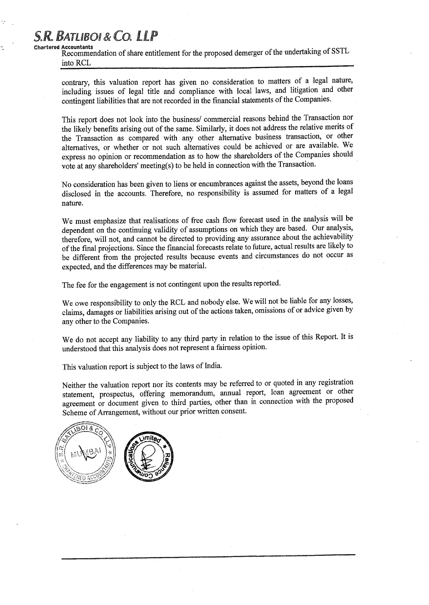**Chartered Accountants** Recommendation of share entitlement for the proposed demerger of the undertaking of SSTL into RCL

contrary, this valuation report has given no consideration to matters of a legal nature, including issues of legal title and compliance with local laws, and litigation and other contingent liabilities that are not recorded in the financial statements of the Companies.

This report does not look into the business/ commercial reasons behind the Transaction nor the likely benefits arising out of the same. Similarly, it does not address the relative merits of the Transaction as compared with any other alternative business transaction, or other alternatives, or whether or not such alternatives could be achieved or are available. We express no opinion or recommendation as to how the shareholders of the Companies should vote at any shareholders' meeting(s) to be held in connection with the Transaction.

No consideration has been given to liens or encumbrances against the assets, beyond the loans disclosed in the accounts. Therefore, no responsibility is assumed for matters of a legal nature.

We must emphasize that realisations of free cash flow forecast used in the analysis will be dependent on the continuing validity of assumptions on which they are based. Our analysis, therefore, will not, and cannot be directed to providing any assurance about the achievability of the final projections. Since the financial forecasts relate to future, actual results are likely to be different from the projected results because events and circumstances do not occur as expected, and the differences may be material.

The fee for the engagement is not contingent upon the results reported.

We owe responsibility to only the RCL and nobody else. We will not be liable for any losses, claims, damages or liabilities arising out of the actions taken, omissions of or advice given by any other to the Companies.

We do not accept any liability to any third party in relation to the issue of this Report. It is understood that this analysis does not represent a fairness opinion.

This valuation report is subject to the laws of India.

Neither the valuation report nor its contents may be referred to or quoted in any registration statement, prospectus, offering memorandum, annual report, loan agreement or other agreement or document given to third parties, other than in connection with the proposed Scheme of Arrangement, without our prior written consent.

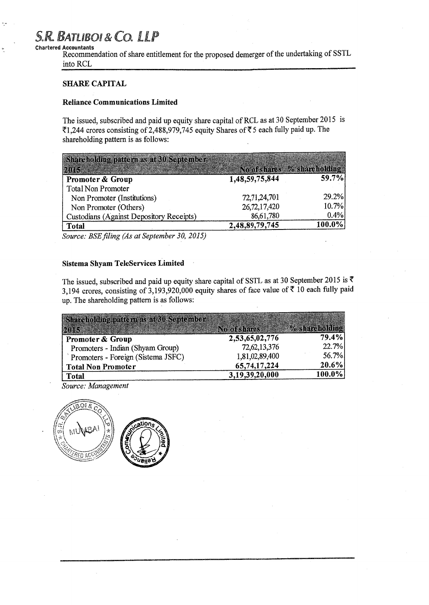### *R. BATL oI Co.* **Chartered** A**ccountants**

Recommendation of share entitlement for the proposed demerger of the undertaking of SSTL into RCL

#### SHARE CAPITAL

#### **Reliance Communications Limited**

**The issued**, **subscribed and paid up equity share capital** of RCL **as at 30 September 2015 is 21,244 crores consisting of 2,488**,**979,745 equity Shares of Z 5 each fully paid up. The shareholding pattern is as follows:**

| Shareholding pattern as at 30 September  |                             |        |
|------------------------------------------|-----------------------------|--------|
| parts                                    | No of shares % shareholding |        |
| Promoter & Group                         | 1,48,59,75,844              | 59.7%  |
| <b>Total Non Promoter</b>                |                             |        |
| Non Promoter (Institutions)              | 72,71,24,701                | 29.2%  |
| Non Promoter (Others)                    | 26,72,17,420                | 10.7%  |
| Custodians (Against Depository Receipts) | 86,61,780                   | 0.4%   |
| Total                                    | 2,48,89,79,745              | 100.0% |

*Source: BSE filing (As at September 30, 2015)*

#### **Sistema Shyam TeleServices Limited**

The issued, subscribed and paid up equity share capital of SSTL as at 30 September 2015 is  $\bar{\tau}$ 3,194 crores, consisting of 3,193,920,000 equity shares of face value of  $\bar{x}$  10 each fully paid up. The shareholding pattern **is as** follows:

| Shareholding pattern as at 30 September |                 |                |
|-----------------------------------------|-----------------|----------------|
| M) IS                                   | No of shares    | % shareholding |
| Promoter & Group                        | 2,53,65,02,776  | 79.4%          |
| Promoters - Indian (Shyam Group)        | 72, 62, 13, 376 | 22.7%          |
| Promoters - Foreign (Sistema JSFC)      | 1,81,02,89,400  | 56.7%          |
| <b>Total Non Promoter</b>               | 65,74,17,224    | $ 20.6\% $     |
| <b>Total</b>                            | 3,19,39,20,000  | 100.0%         |

*Source: Management*

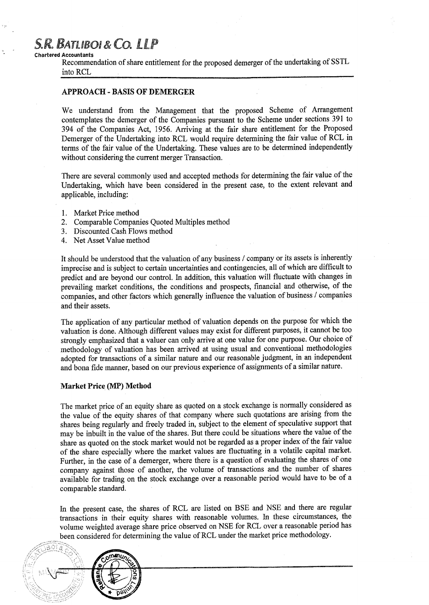#### **Chartered Accountants**

Recommendation of share entitlement for the proposed demerger of the undertaking of SSTL into RCL

#### APPROACH - BASIS OF DEMERGER

We understand from the Management that the proposed Scheme of Arrangement contemplates the demerger of the Companies pursuant to the Scheme under sections 391 to 394 of the Companies Act, 1956. Arriving at the fair share entitlement for the Proposed Demerger of the Undertaking into RCL would require determining the fair value of RCL in terms of the fair value of the Undertaking. These values are to be determined independently without considering the current merger Transaction.

There are several commonly used and accepted methods for determining the fair value of the Undertaking, which have been considered in the present case, to the extent relevant and applicable, including:

- 1. Market Price method
- 2. Comparable Companies Quoted Multiples method
- 3. Discounted Cash Flows method
- 4. Net Asset Value method

It should be understood that the valuation of any business / company or its assets is inherently imprecise and is subject to certain uncertainties and contingencies, all of which are difficult to predict and are beyond our control. In addition, this valuation will fluctuate with changes in prevailing market conditions, the conditions and prospects, financial and otherwise, of the companies, and other factors which generally influence the valuation of business / companies and their assets.

The application of any particular method of valuation depends on the purpose for which the valuation is done. Although different values may exist for different purposes, it cannot be too strongly emphasized that a valuer can only arrive at one value for one purpose. Our choice of methodology of valuation has been arrived at using usual and conventional methodologies adopted for transactions of a similar nature and our reasonable judgment, in an independent and bona fide manner, based on our previous experience of assignments of a similar nature.

#### Market Price (MP) Method

The market price of an equity share as quoted on a stock exchange is normally considered as the value of the equity shares of that company where such quotations are arising from the shares being regularly and freely traded in, subject to the element of speculative support that may be inbuilt in the value of the shares. But there could be situations where the value of the share as quoted on the stock market would not be regarded as a proper index of the fair value of the share especially where the market values are fluctuating in a volatile capital market. Further, in the case of a demerger, where there is a question of evaluating the shares of one company against those of another, the volume of transactions and the number of shares available for trading on the stock exchange over a reasonable period would have to be of a comparable standard.

In the present case, the shares of RCL are listed on BSE and NSE and there are regular transactions in their equity shares with reasonable volumes. In these circumstances, the volume weighted average share price observed on NSE for RCL over a reasonable period has been considered for determining the value of RCL under the market price methodology.

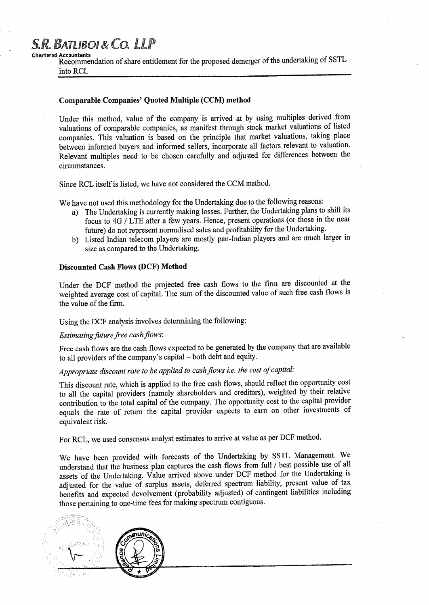#### Chartered **Accountants**

Recommendation of share entitlement for the proposed demerger of the undertaking of SSTL into RCL

#### **Comparable Companies**' Q**uoted Multiple** (CCM) method

Under this method, value of the company is arrived at by using multiples derived from valuations of comparable companies, as manifest through stock market valuations of listed companies. This valuation is based on the principle that market valuations, taking place between informed buyers and informed sellers, incorporate all factors relevant to valuation. Relevant multiples need to be chosen carefully and adjusted for differences between the circumstances.

Since RCL **itself is listed**, **we have not considered** the CCM method.

We have not used this methodology for the Undertaking due to the following reasons:

- a) The Undertaking is currently making losses. Further, the Undertaking plans to shift its focus to 4G / LTE after a few years. Hence, present operations (or those in the near future) do not represent normalised sales and profitability for the Undertaking.
- b) Listed Indian telecom players are mostly pan-Indian players and are much larger in size as compared to the Undertaking.

#### **Discounted** Cash Flows (DCF) Method

Under the DCF method the projected free cash flows to the firm are discounted at the weighted average cost of capital. The sum of the discounted value of such free cash flows is the value of the firm.

Using the DCF analysis involves determining the following:

#### *Estimating future free cash flows:*

Free cash flows are the cash flows expected to be generated by the company that are available to all providers of the company's capital - both debt and equity.

### *Appropriate discount rate to be applied to cash flows i.e. the cost of capital.-*

This discount rate, which is applied to the free cash flows, should reflect the opportunity cost to all the capital providers (namely shareholders and creditors), weighted by their relative contribution to the total capital of the company. The opportunity cost to the capital provider equals the rate of return the capital provider expects to earn on other investments of equivalent risk.

For RCL, we used consensus analyst estimates to arrive at value as per DCF method.

We have been provided with forecasts of the Undertaking by SSTL Management. We understand that the business plan captures the cash flows from full / best possible use of all assets of the Undertaking. Value arrived above under DCF method for the Undertaking is adjusted for the value of surplus assets, deferred spectrum liability, present value of tax benefits and expected devolvement (probability adjusted) of contingent liabilities including those pertaining to one-time fees for making spectrum contiguous.

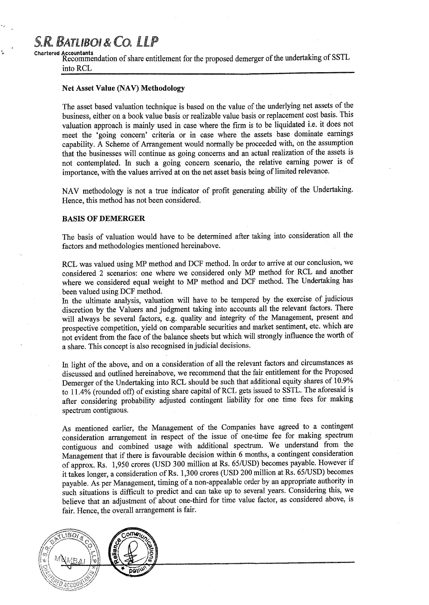**Chartered Accountants** Recommendation of share entitlement for the proposed demerger of the undertaking of SSTL into RCL

#### . Net Asset Value (NAV) Methodology

The asset based valuation technique is based on the value of the underlying net assets of the business, either on a book value basis or realizable value basis or replacement cost basis. This valuation approach is mainly used in case where the firm is to be liquidated i.e. it does not meet the 'going concern' criteria or in case where the assets base dominate earnings capability. A Scheme of Arrangement would normally be proceeded with, on the assumption that the businesses will continue as going concerns and an actual realization of the assets is not contemplated. In such a going concern scenario, the relative earning power is of importance, with the values arrived at on the net asset basis being of limited relevance.

NAV methodology is not a true indicator of profit generating ability of the Undertaking. Hence, this method has not been considered.

#### BASIS OF DEMERGER

The basis of valuation would have to be determined after taking into consideration all the factors and methodologies mentioned hereinabove.

RCL was valued using MP method and DCF method. In order to arrive at our conclusion, we considered 2 scenarios: one where we considered only MP method for RCL and another where we considered equal weight to MP method and DCF method. The Undertaking has been valued using DCF method.

In the ultimate analysis, valuation will have to be tempered by the exercise of judicious discretion by the Valuers and judgment taking into accounts all the relevant factors. There will always be several factors, e.g. quality and integrity of the Management, present and prospective competition, yield on comparable securities and market sentiment, etc. which are not evident from the face of the balance sheets but which will strongly influence the worth of a share. This concept is also recognised in judicial decisions.

In light of the above, and on a consideration of all the relevant factors and circumstances as discussed and outlined hereinabove, we recommend that the fair entitlement for the Proposed Demerger of the Undertaking into RCL should be such that additional equity shares of 10.9% to 11.4% (rounded off) of existing share capital of RCL gets issued to SSTL. The aforesaid is after considering probability adjusted contingent liability for one time fees for making spectrum contiguous.

As mentioned earlier, the Management of the Companies have agreed to a contingent consideration arrangement in respect of the issue of one-time fee for making spectrum contiguous and combined usage with additional spectrum. We understand from the Management that if there is favourable decision within 6 months, a contingent consideration of approx. Rs. 1,950 crores (USD 300 million at Rs. 65/USD) becomes payable. However if it takes longer, a consideration of Rs. 1,300 crores (USD 200 million at Rs. 65/USD) becomes payable. As per Management, timing of a non-appealable order by an appropriate authority in such situations is difficult to predict and can take up to several years. Considering this, we believe that an adjustment of about one-third for time value factor, as considered above, is fair. Hence, the overall arrangement is fair.

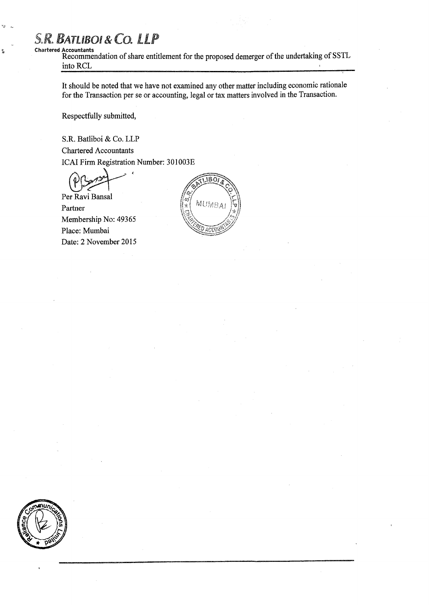### $S.R.$  **BATLIBOI & CO. LLP Chartered** A**ccountants**

Recommendation of share entitlement for the proposed demerger of the undertaking of SSTL into RCL  $\mathbf{r}$ 

It should be noted that we have not examined any other matter including economic rationale for the Transaction per se or accounting, legal or tax matters involved in the Transaction.

Respectfully submitted,

**S.R. Batliboi** & Co. LLP

**Chartered Accountants** ICAI **Firm Registration Number** : **301003E**

Per Ravi Bansal Partner Membership No: 49365 Place: Mumbai Date: 2 November 2015



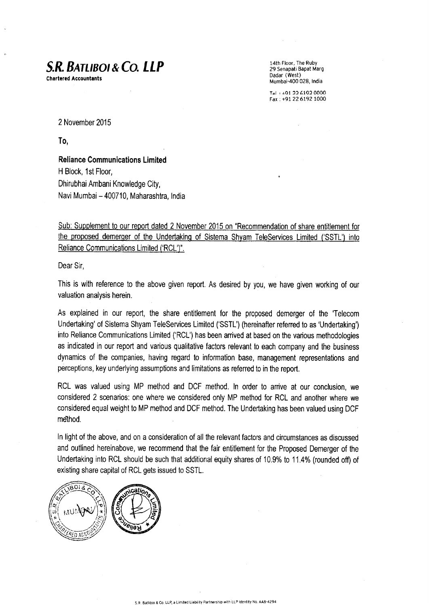# S.R. BATLIBot & Co. LLP

**Chartered Accountants**

14th Floor, The Ruby 29 Senapati **Bapat Marg Dadar (West) Mumbai**-400 028, India

Tal: +01 22 6102 0000 Fax +91 22 6192 1000

2 November 2015

To,

**Reliance Communications Limited** H Block, 1st Floor, Dhirubhai Ambani Knowledge City, Navi Mumbai - 400710, Maharashtra, India

Sub: Supplement to our report dated 2 November 2015 on "Recommendation of share entitlement for the proposed demerger of the Undertaking of Sistema Shyam TeleServices Limited ('SSTL') into Reliance Communications Limited ('RCL')".

Dear Sir,

This is with reference to the above given report. As desired by you, we have given working of our valuation analysis herein.

**As explained in our report**, **the share entitlement for the proposed demerger of the 'Telecom Undertaking** ' **of Sistema Shyam TeleServices Limited** ('SSTL**') (hereinafter referred to as 'Undertaking') into Reliance Communications** Limited (' **RCL') has been arrived at based on the various methodologies as indicated in our report and various qualitative factors relevant to each company and the business dynamics of the companies, having regard to information base, management representations and perceptions**, **key underlying assumptions and limitations as referred to in the report.**

**RCL was valued using MP method and DCF method** . **In order to arrive at our conclusion, we considered 2 scenarios: one where we considered only MP method** for RCL and **another where we considered equal weight to MP method and DCF method. The Undertaking has been valued using DCF method.**

**In light of the above** , **and on a consideration of all the relevant factors and circumstances as discussed and outlined hereinabove** , **we recommend that the fair entitlement for the Proposed Demerger of the Undertaking** into RCL should **be such that additional equity shares of 10.9% to 11.4% (rounded off) of existing share capital of RCL gets issued** to SSTL.

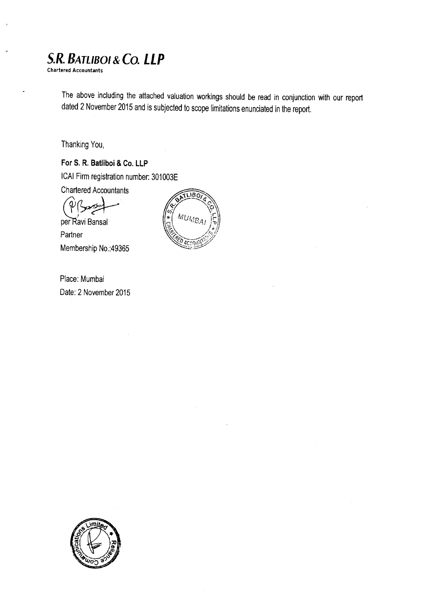**Chartered Accountants**

The above including the attached valuation workings should be read in conjunction with our report dated 2 November 2015 and is subjected to scope limitations enunciated in the report.

Thanking You,

**For S**. **R. Batliboi** & Co. LLP ICAI Firm registration number: 301003E Chartered Accountants J

per Ravi Bansal Partner Membership No.:49365



Place: Mumbai Date: 2 November 2015

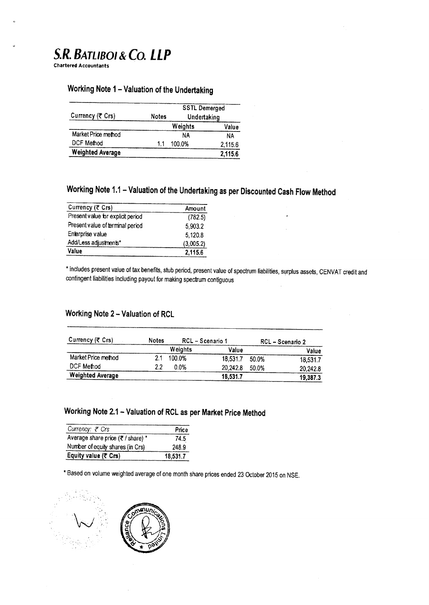**Chartered Accountants**

### **Working Note 1-Valuation of the Undertaking**

|                         |       | <b>SSTL Demerged</b><br>Undertaking |         |
|-------------------------|-------|-------------------------------------|---------|
| Currency (₹ Crs)        | Notes |                                     |         |
|                         |       | Weights                             | Value   |
| Market Price method     |       | NΑ                                  | NΑ      |
| DCF Method              | 11    | 100.0%                              | 2,115.6 |
| <b>Weighted Average</b> |       |                                     | 2,115.6 |

## **Working Note 1.1 - Valuation of the Undertaking as per Discounted Cash Flow Method**

| Currency (そ Crs)                  | Amount    |
|-----------------------------------|-----------|
| Present value for explicit period | (782.5)   |
| Present value of terminal period  | 5,903.2   |
| Enterprise value                  | 5,120.8   |
| Add/Less adjustments*             | (3,005.2) |
| Value                             | 2,115.6   |

**\* includes present value of tax benefits** , **stub period** , **present value of spectrum liabilities, surplus assets** , CENVAT **credit and contingent liabilities including payout for making spectrum contiguous**

#### **Working Note** 2 - Valuation of RCL

| Currency (そ Crs)        | <b>Notes</b> | RCL - Scenario 1 |          |       | RCL - Scenario 2 |
|-------------------------|--------------|------------------|----------|-------|------------------|
|                         |              | Weights          | Value    |       | Value            |
| Market Price method     | 21           | 100.0%           | 18,531.7 | 50.0% | 18,531.7         |
| DCF Method              | 2.2          | $0.0\%$          | 20.242.8 | 50.0% | 20,242.8         |
| <b>Weighted Average</b> |              |                  | 18,531.7 |       | 19.387.3         |

### Working Note 2.1 - Valuation of RCL as per **Market** Price Method

| Currency: ₹ Crs                   | Price    |
|-----------------------------------|----------|
| Average share price (₹ / share) * | 74.5     |
| Number of equity shares (in Crs)  | 248.9    |
| Equity value (₹ Crs)              | 18,531.7 |

\* Based on volume weighted average of one month share prices ended 23 October 2015 on NSE.